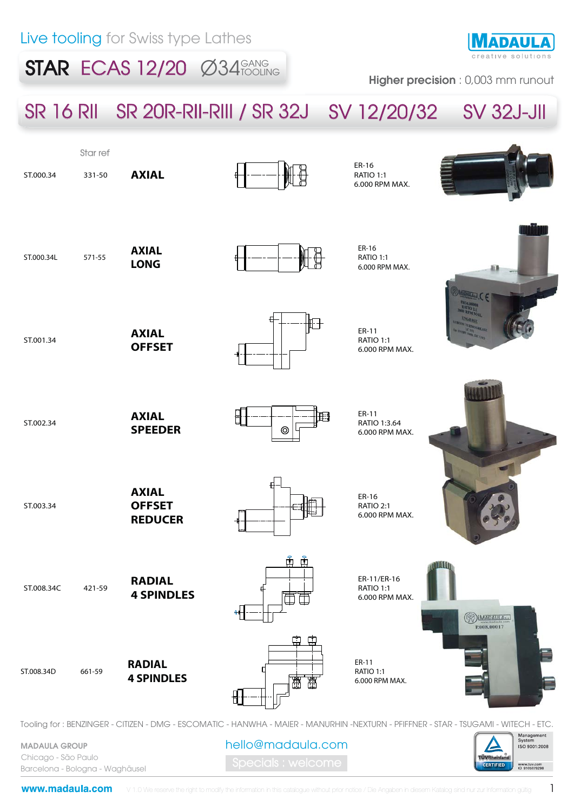$STAR$  ECAS 12/20  $\emptyset$ 34 $_{\text{TOCLING}}$ 



Higher precision : 0,003 mm runout

# SR 16 RII SR 20R-RII-RIII / SR 32J SV 12/20/32 SV 32J-JII



MADAULA GROUP Chicago - São Paulo Barcelona - Bologna - Waghäusel

www.tuv.com<br>ID 9105079298

**ÜVRheinia CERTIFIED**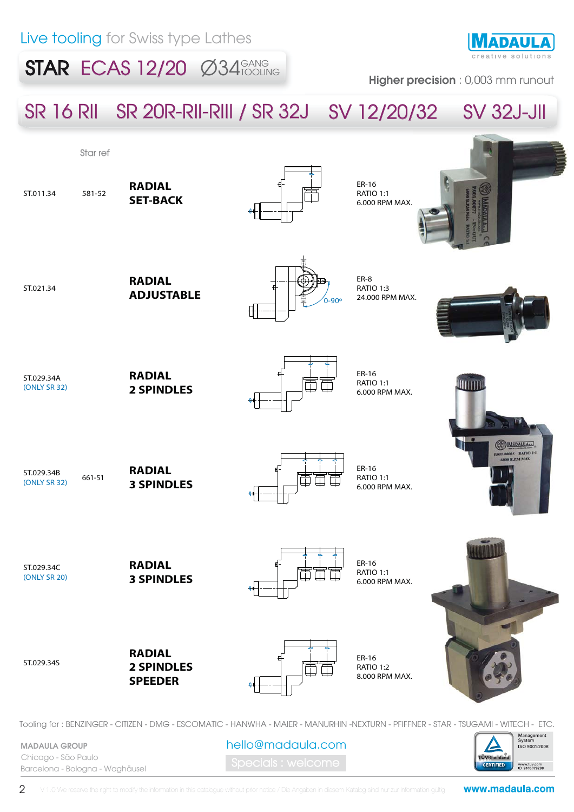### $STAR$  ECAS 12/20  $\emptyset$ 34 $_{\text{TOCLING}}$



Higher precision : 0,003 mm runout

## SR 16 RII SR 20R-RII-RIII / SR 32J SV 12/20/32 SV 32J-JII



Tooling for : BENZINGER - CITIZEN - DMG - ESCOMATIC - HANWHA - MAIER - MANURHIN -NEXTURN - PFIFFNER - STAR - TSUGAMI - WITECH - ETC.

MADAULA GROUP Chicago - São Paulo Barcelona - Bologna - Waghäusel hello@madaula.com

Management<br>System **ISO 9001:2008 rÜVRheinia CERTIFIED** www.tuv.com<br>ID 9105079298

2

www.madaula.com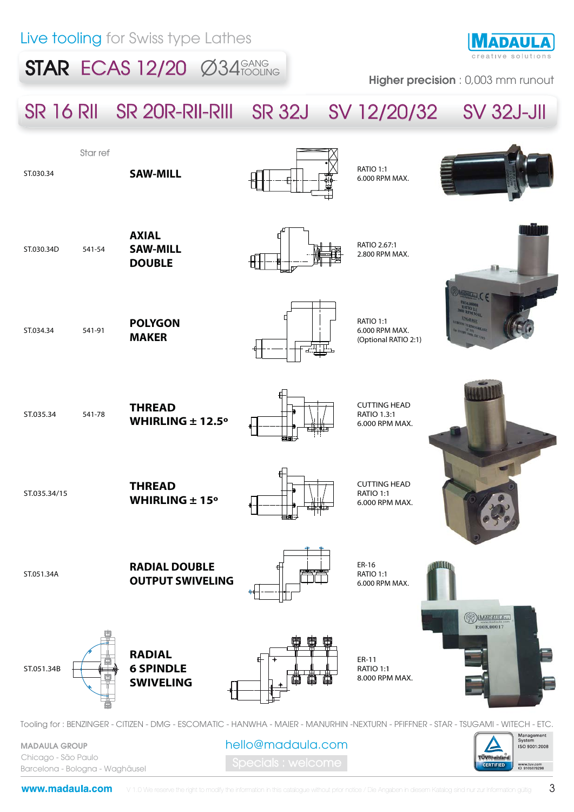### $STAR$  ECAS 12/20  $\emptyset$ 34 $_{\text{TOCLING}}$



Higher precision : 0,003 mm runout

## SR 16 RII SR 20R-RII-RIII SR 32J SV 12/20/32 SV 32J-JII



MADAULA GROUP Chicago - São Paulo Barcelona - Bologna - Waghäusel

www.madaula.com

hello@madaula.com

ISO 9001:2008

www.tuv.com<br>ID 9105079298

**rÜVRheinia CERTIFIED**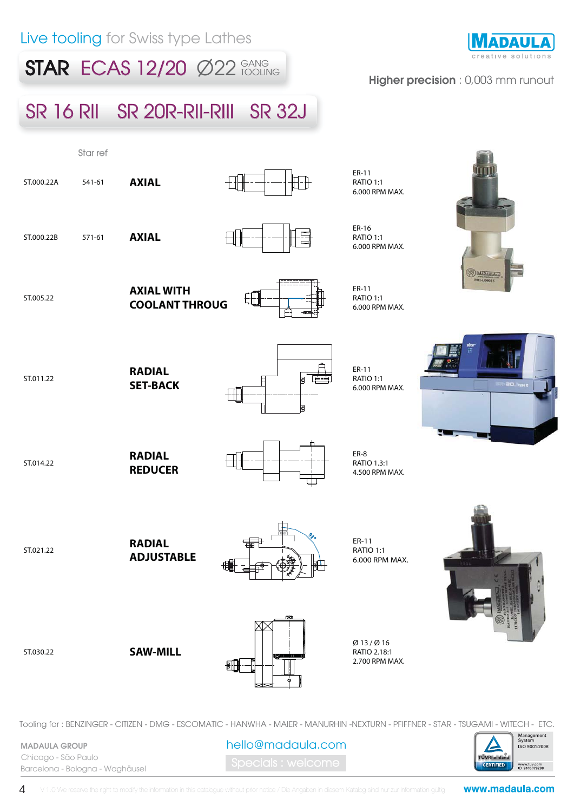### **STAR ECAS 12/20**  $\emptyset$ **22 FOOLING**

# ADAUI

#### Higher precision : 0,003 mm runout

## SR 16 RII SR 20R-RII-RIII SR 32J



Tooling for : BENZINGER - CITIZEN - DMG - ESCOMATIC - HANWHA - MAIER - MANURHIN -NEXTURN - PFIFFNER - STAR - TSUGAMI - WITECH - ETC.

hello@madaula.com

| TÜVRheinland     | Management<br>System<br>ISO 9001:2008 |
|------------------|---------------------------------------|
| <b>CERTIFIED</b> | www.tuv.com<br>ID 9105079298          |

4 V 1.0 We reserve the right to modify the information in this catalogue without prior notice / Die Angaben in diesem Katalog sind nur zur Information gültig

MADAULA GROUP Chicago - São Paulo

Barcelona - Bologna - Waghäusel

www.madaula.com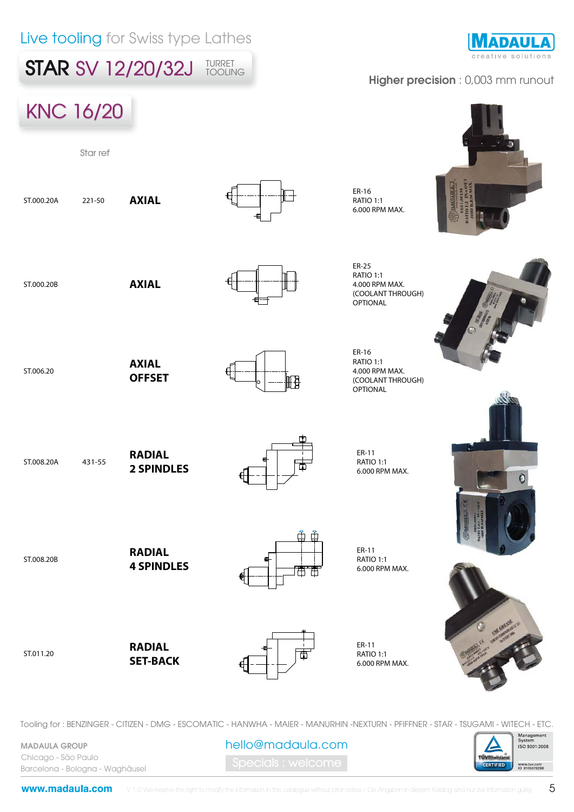

Tooling for : BENZINGER - CITIZEN - DMG - ESCOMATIC - HANWHA - MAIER - MANURHIN -NEXTURN - PFIFFNER - STAR - TSUGAMI - WITECH - ETC.

MADAULA GROUP Chicago - São Paulo Barcelona - Bologna - Waghäusel

www.madaula.com

hello@madaula.com



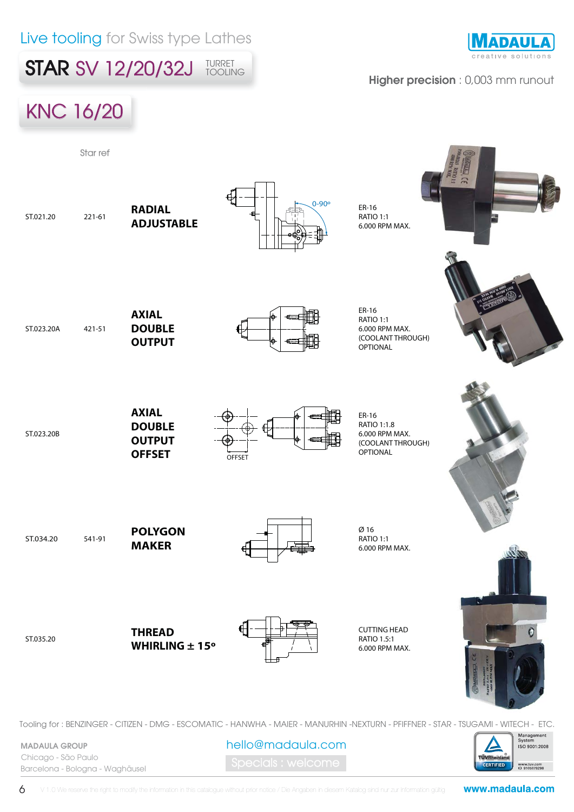**STAR SV 12/20/32J** TURRET

**NADAULA** 

#### Higher precision : 0,003 mm runout



MADAULA GROUP Chicago - São Paulo Barcelona - Bologna - Waghäusel

6

hello@madaula.com

V 1.0 We reserve the right to modify the information in this catalogue without prior notice / Die Angaben in diesem Katalog sind nur zur Information gültig

www.madaula.com

**ÜVRheinia** CERTIFIED ISO 9001:2008

www.tuv.com<br>ID 9105079298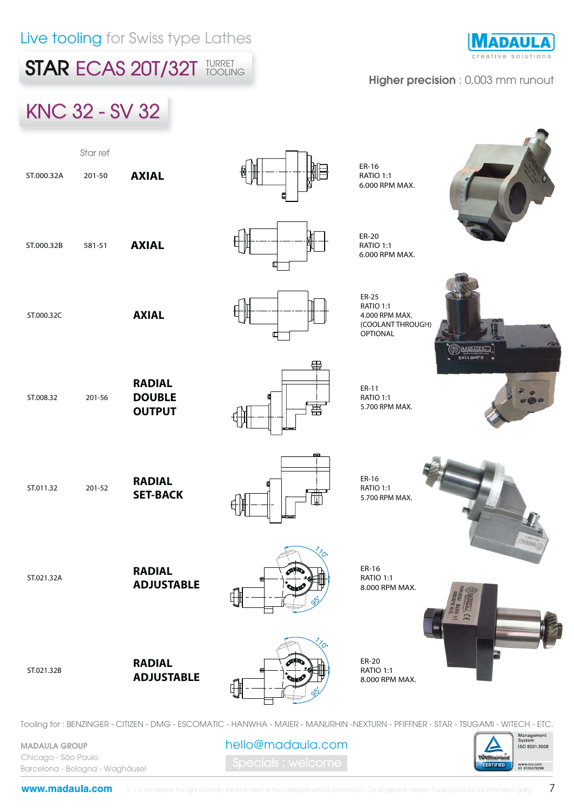**STAR ECAS 20T/32T TURRET** 

# **ADAUL**

#### Higher precision : 0,003 mm runout



Tooling for : BENZINGER - CITIZEN - DMG - ESCOMATIC - HANWHA - MAIER - MANURHIN -NEXTURN - PFIFFNER - STAR - TSUGAMI - WITECH - ETC.

hello@madaula.com

MADAULA GROUP Chicago - São Paulo Barcelona - Bologna - Waghäusel

www.madaula.com

Management<br>System **ISO 9001:2008** 

www.tuv.com<br>ID 9105079298

**ÜVRheinia CERTIFIED**